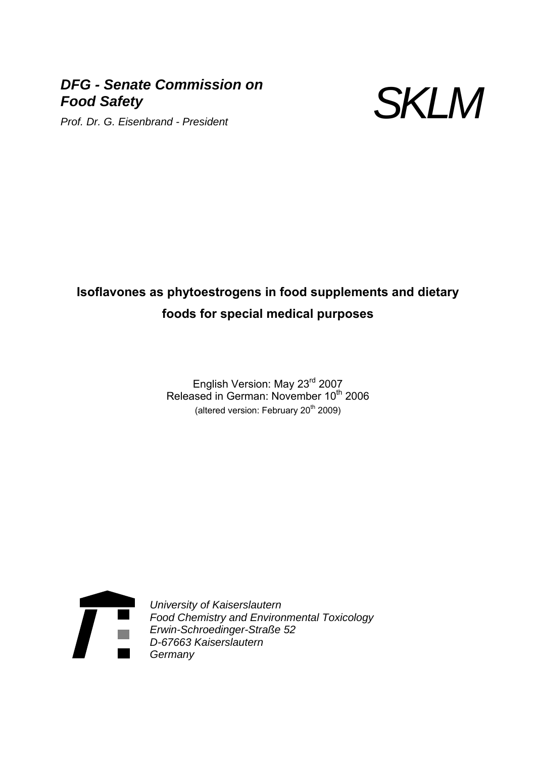## *DFG - Senate Commission on Food Safety*



# **Isoflavones as phytoestrogens in food supplements and dietary foods for special medical purposes**

English Version: May 23rd 2007 Released in German: November 10<sup>th</sup> 2006 (altered version: February 20<sup>th</sup> 2009)



*University of Kaiserslautern Food Chemistry and Environmental Toxicology Erwin-Schroedinger-Straße 52 D-67663 Kaiserslautern Germany*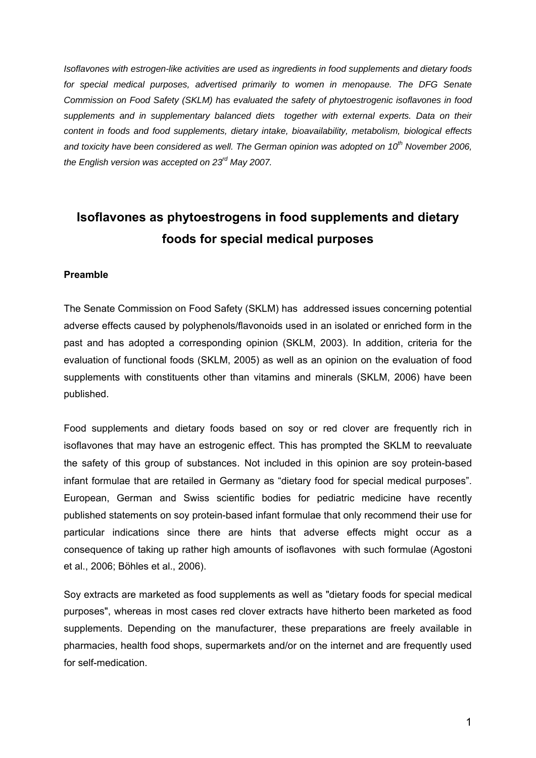*Isoflavones with estrogen-like activities are used as ingredients in food supplements and dietary foods*  for special medical purposes, advertised primarily to women in menopause. The DFG Senate *Commission on Food Safety (SKLM) has evaluated the safety of phytoestrogenic isoflavones in food supplements and in supplementary balanced diets together with external experts. Data on their content in foods and food supplements, dietary intake, bioavailability, metabolism, biological effects*  and toxicity have been considered as well. The German opinion was adopted on 10<sup>th</sup> November 2006. *the English version was accepted on 23rd May 2007.* 

# **Isoflavones as phytoestrogens in food supplements and dietary foods for special medical purposes**

### **Preamble**

The Senate Commission on Food Safety (SKLM) has addressed issues concerning potential adverse effects caused by polyphenols/flavonoids used in an isolated or enriched form in the past and has adopted a corresponding opinion (SKLM, 2003). In addition, criteria for the evaluation of functional foods (SKLM, 2005) as well as an opinion on the evaluation of food supplements with constituents other than vitamins and minerals (SKLM, 2006) have been published.

Food supplements and dietary foods based on soy or red clover are frequently rich in isoflavones that may have an estrogenic effect. This has prompted the SKLM to reevaluate the safety of this group of substances. Not included in this opinion are soy protein-based infant formulae that are retailed in Germany as "dietary food for special medical purposes". European, German and Swiss scientific bodies for pediatric medicine have recently published statements on soy protein-based infant formulae that only recommend their use for particular indications since there are hints that adverse effects might occur as a consequence of taking up rather high amounts of isoflavones with such formulae (Agostoni et al., 2006; Böhles et al., 2006).

Soy extracts are marketed as food supplements as well as "dietary foods for special medical purposes", whereas in most cases red clover extracts have hitherto been marketed as food supplements. Depending on the manufacturer, these preparations are freely available in pharmacies, health food shops, supermarkets and/or on the internet and are frequently used for self-medication.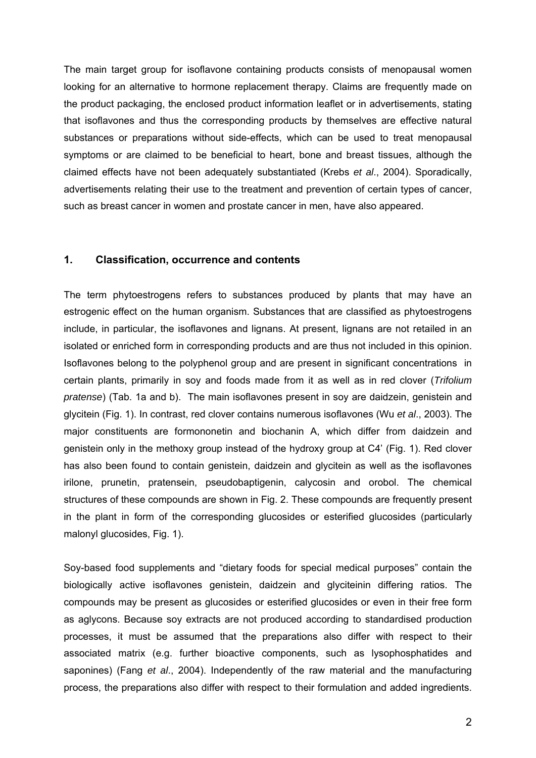The main target group for isoflavone containing products consists of menopausal women looking for an alternative to hormone replacement therapy. Claims are frequently made on the product packaging, the enclosed product information leaflet or in advertisements, stating that isoflavones and thus the corresponding products by themselves are effective natural substances or preparations without side-effects, which can be used to treat menopausal symptoms or are claimed to be beneficial to heart, bone and breast tissues, although the claimed effects have not been adequately substantiated (Krebs *et al*., 2004). Sporadically, advertisements relating their use to the treatment and prevention of certain types of cancer, such as breast cancer in women and prostate cancer in men, have also appeared.

### **1. Classification, occurrence and contents**

The term phytoestrogens refers to substances produced by plants that may have an estrogenic effect on the human organism. Substances that are classified as phytoestrogens include, in particular, the isoflavones and lignans. At present, lignans are not retailed in an isolated or enriched form in corresponding products and are thus not included in this opinion. Isoflavones belong to the polyphenol group and are present in significant concentrations in certain plants, primarily in soy and foods made from it as well as in red clover (*Trifolium pratense*) (Tab. 1a and b). The main isoflavones present in soy are daidzein, genistein and glycitein (Fig. 1). In contrast, red clover contains numerous isoflavones (Wu *et al*., 2003). The major constituents are formononetin and biochanin A, which differ from daidzein and genistein only in the methoxy group instead of the hydroxy group at C4' (Fig. 1). Red clover has also been found to contain genistein, daidzein and glycitein as well as the isoflavones irilone, prunetin, pratensein, pseudobaptigenin, calycosin and orobol. The chemical structures of these compounds are shown in Fig. 2. These compounds are frequently present in the plant in form of the corresponding glucosides or esterified glucosides (particularly malonyl glucosides, Fig. 1).

Soy-based food supplements and "dietary foods for special medical purposes" contain the biologically active isoflavones genistein, daidzein and glyciteinin differing ratios. The compounds may be present as glucosides or esterified glucosides or even in their free form as aglycons. Because soy extracts are not produced according to standardised production processes, it must be assumed that the preparations also differ with respect to their associated matrix (e.g. further bioactive components, such as lysophosphatides and saponines) (Fang *et al*., 2004). Independently of the raw material and the manufacturing process, the preparations also differ with respect to their formulation and added ingredients.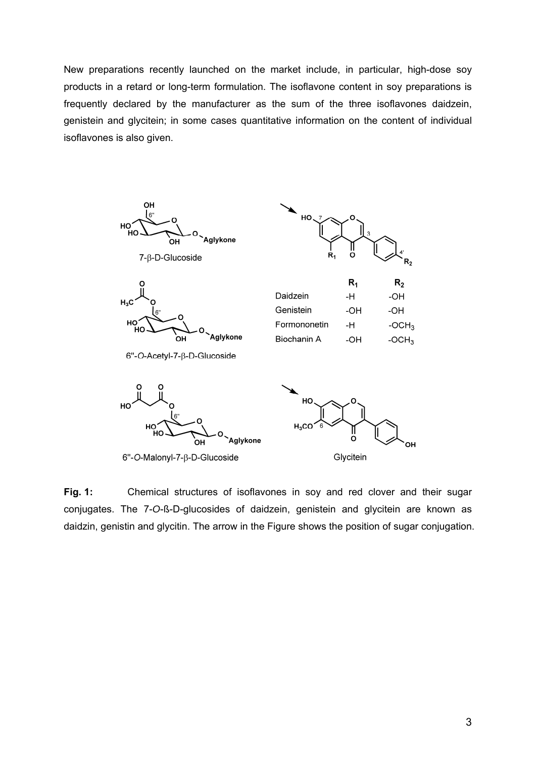New preparations recently launched on the market include, in particular, high-dose soy products in a retard or long-term formulation. The isoflavone content in soy preparations is frequently declared by the manufacturer as the sum of the three isoflavones daidzein, genistein and glycitein; in some cases quantitative information on the content of individual isoflavones is also given.



**Fig. 1:** Chemical structures of isoflavones in soy and red clover and their sugar conjugates. The 7-*O*-ß-D-glucosides of daidzein, genistein and glycitein are known as daidzin, genistin and glycitin. The arrow in the Figure shows the position of sugar conjugation.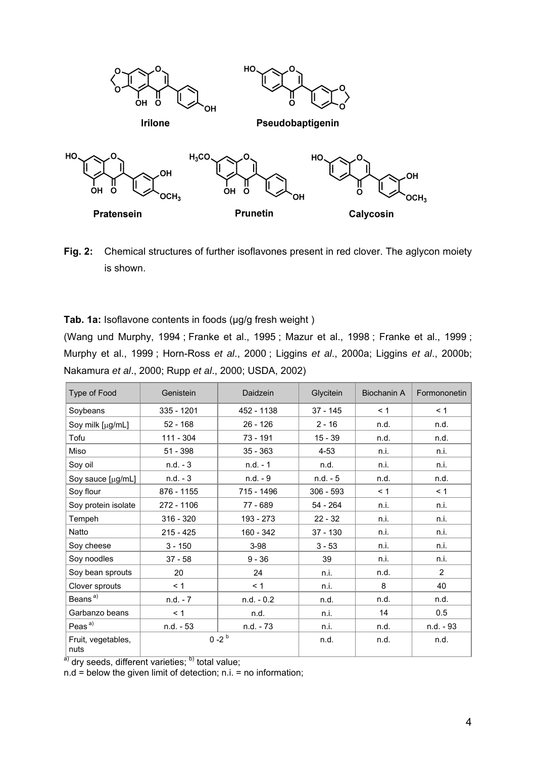

**Fig. 2:** Chemical structures of further isoflavones present in red clover. The aglycon moiety is shown.

Tab. 1a: Isoflavone contents in foods (µg/g fresh weight)

(Wang und Murphy, 1994 ; Franke et al., 1995 ; Mazur et al., 1998 ; Franke et al., 1999 ; Murphy et al., 1999 ; Horn-Ross *et al*., 2000 ; Liggins *et al*., 2000a; Liggins *et al*., 2000b; Nakamura *et al*., 2000; Rupp *et al*., 2000; USDA, 2002)

| Type of Food               | Genistein   | Daidzein     | Glycitein   | Biochanin A | Formononetin   |
|----------------------------|-------------|--------------|-------------|-------------|----------------|
| Soybeans                   | 335 - 1201  | 452 - 1138   | 37 - 145    | < 1         | < 1            |
| Soy milk [µg/mL]           | $52 - 168$  | 26 - 126     | $2 - 16$    | n.d.        | n.d.           |
| Tofu                       | 111 - 304   | 73 - 191     | $15 - 39$   | n.d.        | n.d.           |
| Miso                       | 51 - 398    | $35 - 363$   | $4 - 53$    | n.i.        | n.i.           |
| Soy oil                    | $n.d. -3$   | $n.d. - 1$   | n.d.        | n.i.        | n.i.           |
| Soy sauce [µg/mL]          | $n.d. -3$   | $n.d. - 9$   | $n.d. - 5$  | n.d.        | n.d.           |
| Soy flour                  | 876 - 1155  | 715 - 1496   | $306 - 593$ | < 1         | < 1            |
| Soy protein isolate        | 272 - 1106  | 77 - 689     | $54 - 264$  | n.i.        | n.i.           |
| Tempeh                     | $316 - 320$ | 193 - 273    | $22 - 32$   | n.i.        | n.i.           |
| Natto                      | $215 - 425$ | 160 - 342    | 37 - 130    | n.i.        | n.i.           |
| Soy cheese                 | $3 - 150$   | $3-98$       | $3 - 53$    | n.i.        | n.i.           |
| Soy noodles                | $37 - 58$   | $9 - 36$     | 39          | n.i.        | n.i.           |
| Soy bean sprouts           | 20          | 24           | n.i.        | n.d.        | $\overline{2}$ |
| Clover sprouts             | < 1         | < 1          | n.i.        | 8           | 40             |
| Beans <sup>a)</sup>        | $n.d. - 7$  | $n.d. - 0.2$ | n.d.        | n.d.        | n.d.           |
| Garbanzo beans             | < 1         | n.d.         | n.i.        | 14          | 0.5            |
| Peas <sup>a)</sup>         | n.d. - 53   | n.d. - 73    | n.i.        | n.d.        | n.d. - 93      |
| Fruit, vegetables,<br>nuts |             | $0 - 2^{b}$  | n.d.        | n.d.        | n.d.           |

 $\overline{a}$ ) dry seeds, different varieties;  $\overline{b}$ ) total value;

n.d = below the given limit of detection; n.i. = no information;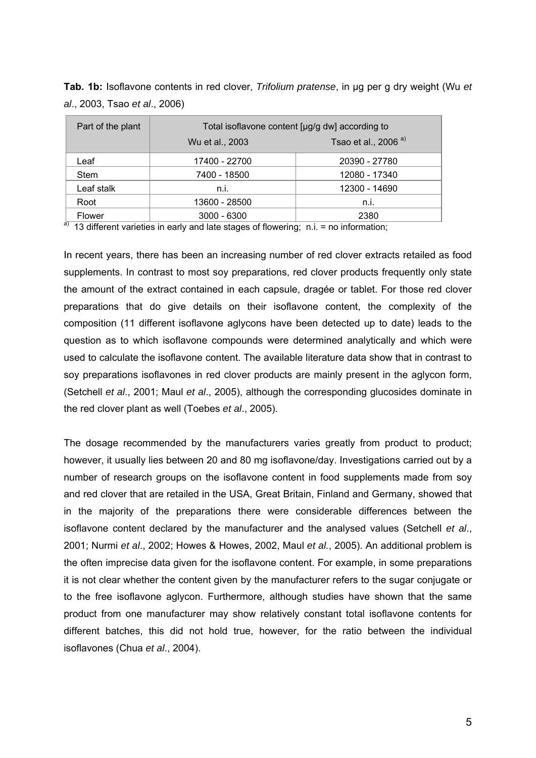**Tab. 1b:** Isoflavone contents in red clover, *Trifolium pratense*, in µg per g dry weight (Wu *et al*., 2003, Tsao *et al*., 2006)

| Part of the plant | Total isoflavone content [µg/g dw] according to |                                 |  |  |
|-------------------|-------------------------------------------------|---------------------------------|--|--|
|                   | Wu et al., 2003                                 | Tsao et al., 2006 <sup>a)</sup> |  |  |
| Leaf              | 17400 - 22700                                   | 20390 - 27780                   |  |  |
| <b>Stem</b>       | 7400 - 18500                                    | 12080 - 17340                   |  |  |
| Leaf stalk        | n.i.                                            | 12300 - 14690                   |  |  |
| Root              | 13600 - 28500                                   | n.i.                            |  |  |
| Flower            | $3000 - 6300$                                   | 2380                            |  |  |

 $a)$  13 different varieties in early and late stages of flowering; n.i. = no information;

In recent years, there has been an increasing number of red clover extracts retailed as food supplements. In contrast to most soy preparations, red clover products frequently only state the amount of the extract contained in each capsule, dragée or tablet. For those red clover preparations that do give details on their isoflavone content, the complexity of the composition (11 different isoflavone aglycons have been detected up to date) leads to the question as to which isoflavone compounds were determined analytically and which were used to calculate the isoflavone content. The available literature data show that in contrast to soy preparations isoflavones in red clover products are mainly present in the aglycon form, (Setchell *et al*., 2001; Maul *et al*., 2005), although the corresponding glucosides dominate in the red clover plant as well (Toebes *et al*., 2005).

The dosage recommended by the manufacturers varies greatly from product to product; however, it usually lies between 20 and 80 mg isoflavone/day. Investigations carried out by a number of research groups on the isoflavone content in food supplements made from soy and red clover that are retailed in the USA, Great Britain, Finland and Germany, showed that in the majority of the preparations there were considerable differences between the isoflavone content declared by the manufacturer and the analysed values (Setchell *et al*., 2001; Nurmi *et al*., 2002; Howes & Howes, 2002, Maul *et al.*, 2005). An additional problem is the often imprecise data given for the isoflavone content. For example, in some preparations it is not clear whether the content given by the manufacturer refers to the sugar conjugate or to the free isoflavone aglycon. Furthermore, although studies have shown that the same product from one manufacturer may show relatively constant total isoflavone contents for different batches, this did not hold true, however, for the ratio between the individual isoflavones (Chua *et al*., 2004).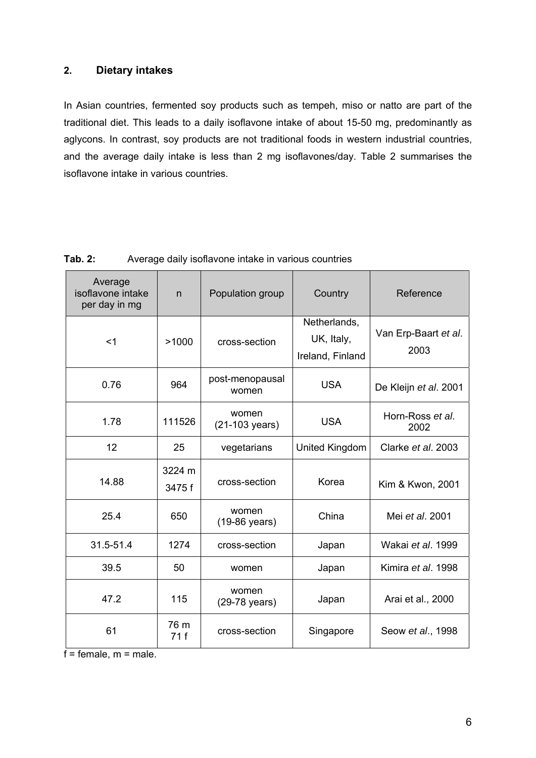## **2. Dietary intakes**

In Asian countries, fermented soy products such as tempeh, miso or natto are part of the traditional diet. This leads to a daily isoflavone intake of about 15-50 mg, predominantly as aglycons. In contrast, soy products are not traditional foods in western industrial countries, and the average daily intake is less than 2 mg isoflavones/day. Table 2 summarises the isoflavone intake in various countries.

| Average<br>isoflavone intake<br>per day in mg | n               | Population group                      | Country                                        | Reference                    |  |
|-----------------------------------------------|-----------------|---------------------------------------|------------------------------------------------|------------------------------|--|
| $<$ 1                                         | >1000           | cross-section                         | Netherlands,<br>UK, Italy,<br>Ireland, Finland | Van Erp-Baart et al.<br>2003 |  |
| 0.76                                          | 964             | post-menopausal<br>women              | <b>USA</b>                                     | De Kleijn et al. 2001        |  |
| 1.78                                          | 111526          | women<br><b>USA</b><br>(21-103 years) |                                                | Horn-Ross et al.<br>2002     |  |
| 12                                            | 25              | vegetarians                           | United Kingdom                                 | Clarke et al. 2003           |  |
| 14.88                                         | 3224 m<br>3475f | cross-section                         | Korea                                          | Kim & Kwon, 2001             |  |
| 25.4                                          | 650             | women<br>(19-86 years)                | China                                          | Mei et al. 2001              |  |
| 31.5-51.4                                     | 1274            | cross-section                         | Japan                                          | Wakai et al. 1999            |  |
| 39.5                                          | 50              | women                                 | Japan                                          | Kimira <i>et al</i> . 1998   |  |
| 47.2                                          | 115             | women<br>(29-78 years)                | Japan                                          | Arai et al., 2000            |  |
| 61                                            | 76 m<br>71 f    | cross-section                         | Singapore                                      | Seow et al., 1998            |  |

**Tab. 2:** Average daily isoflavone intake in various countries

 $f =$  female,  $m =$  male.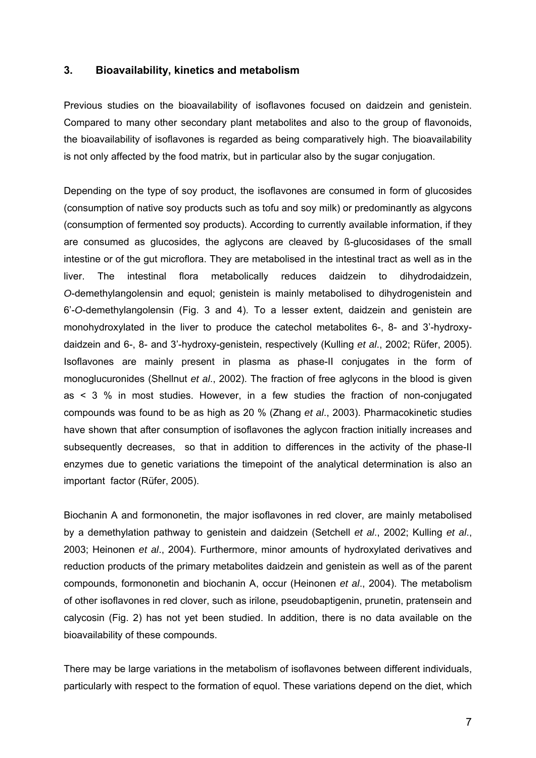### **3. Bioavailability, kinetics and metabolism**

Previous studies on the bioavailability of isoflavones focused on daidzein and genistein. Compared to many other secondary plant metabolites and also to the group of flavonoids, the bioavailability of isoflavones is regarded as being comparatively high. The bioavailability is not only affected by the food matrix, but in particular also by the sugar conjugation.

Depending on the type of soy product, the isoflavones are consumed in form of glucosides (consumption of native soy products such as tofu and soy milk) or predominantly as algycons (consumption of fermented soy products). According to currently available information, if they are consumed as glucosides, the aglycons are cleaved by ß-glucosidases of the small intestine or of the gut microflora. They are metabolised in the intestinal tract as well as in the liver. The intestinal flora metabolically reduces daidzein to dihydrodaidzein, *O*-demethylangolensin and equol; genistein is mainly metabolised to dihydrogenistein and 6'-*O*-demethylangolensin (Fig. 3 and 4). To a lesser extent, daidzein and genistein are monohydroxylated in the liver to produce the catechol metabolites 6-, 8- and 3'-hydroxydaidzein and 6-, 8- and 3'-hydroxy-genistein, respectively (Kulling *et al*., 2002; Rüfer, 2005). Isoflavones are mainly present in plasma as phase-II conjugates in the form of monoglucuronides (Shellnut *et al*., 2002). The fraction of free aglycons in the blood is given as < 3 % in most studies. However, in a few studies the fraction of non-conjugated compounds was found to be as high as 20 % (Zhang *et al*., 2003). Pharmacokinetic studies have shown that after consumption of isoflavones the aglycon fraction initially increases and subsequently decreases, so that in addition to differences in the activity of the phase-II enzymes due to genetic variations the timepoint of the analytical determination is also an important factor (Rüfer, 2005).

Biochanin A and formononetin, the major isoflavones in red clover, are mainly metabolised by a demethylation pathway to genistein and daidzein (Setchell *et al*., 2002; Kulling *et al*., 2003; Heinonen *et al*., 2004). Furthermore, minor amounts of hydroxylated derivatives and reduction products of the primary metabolites daidzein and genistein as well as of the parent compounds, formononetin and biochanin A, occur (Heinonen *et al*., 2004). The metabolism of other isoflavones in red clover, such as irilone, pseudobaptigenin, prunetin, pratensein and calycosin (Fig. 2) has not yet been studied. In addition, there is no data available on the bioavailability of these compounds.

There may be large variations in the metabolism of isoflavones between different individuals, particularly with respect to the formation of equol. These variations depend on the diet, which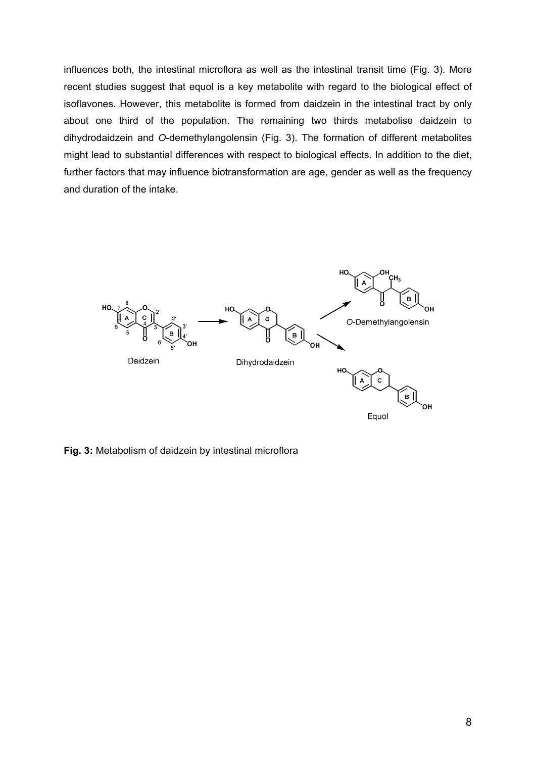influences both, the intestinal microflora as well as the intestinal transit time (Fig. 3). More recent studies suggest that equol is a key metabolite with regard to the biological effect of isoflavones. However, this metabolite is formed from daidzein in the intestinal tract by only about one third of the population. The remaining two thirds metabolise daidzein to dihydrodaidzein and *O*-demethylangolensin (Fig. 3). The formation of different metabolites might lead to substantial differences with respect to biological effects. In addition to the diet, further factors that may influence biotransformation are age, gender as well as the frequency and duration of the intake.



**Fig. 3:** Metabolism of daidzein by intestinal microflora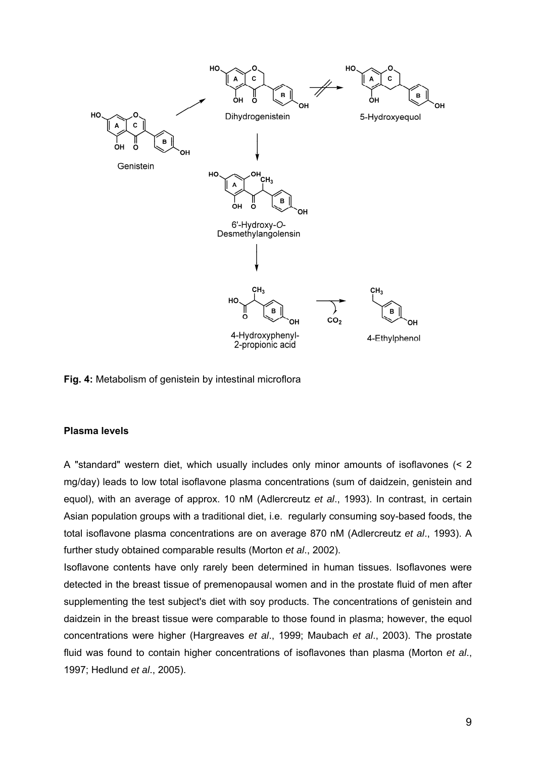

**Fig. 4:** Metabolism of genistein by intestinal microflora

## **Plasma levels**

A "standard" western diet, which usually includes only minor amounts of isoflavones (< 2 mg/day) leads to low total isoflavone plasma concentrations (sum of daidzein, genistein and equol), with an average of approx. 10 nM (Adlercreutz *et al*., 1993). In contrast, in certain Asian population groups with a traditional diet, i.e. regularly consuming soy-based foods, the total isoflavone plasma concentrations are on average 870 nM (Adlercreutz *et al*., 1993). A further study obtained comparable results (Morton *et al*., 2002).

Isoflavone contents have only rarely been determined in human tissues. Isoflavones were detected in the breast tissue of premenopausal women and in the prostate fluid of men after supplementing the test subject's diet with soy products. The concentrations of genistein and daidzein in the breast tissue were comparable to those found in plasma; however, the equol concentrations were higher (Hargreaves *et al*., 1999; Maubach *et al*., 2003). The prostate fluid was found to contain higher concentrations of isoflavones than plasma (Morton *et al*., 1997; Hedlund *et al*., 2005).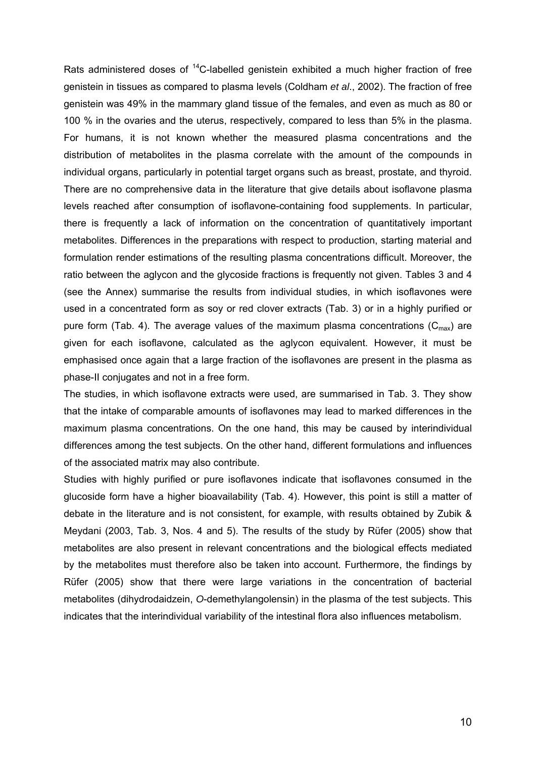Rats administered doses of  $14$ C-labelled genistein exhibited a much higher fraction of free genistein in tissues as compared to plasma levels (Coldham *et al*., 2002). The fraction of free genistein was 49% in the mammary gland tissue of the females, and even as much as 80 or 100 % in the ovaries and the uterus, respectively, compared to less than 5% in the plasma. For humans, it is not known whether the measured plasma concentrations and the distribution of metabolites in the plasma correlate with the amount of the compounds in individual organs, particularly in potential target organs such as breast, prostate, and thyroid. There are no comprehensive data in the literature that give details about isoflavone plasma levels reached after consumption of isoflavone-containing food supplements. In particular, there is frequently a lack of information on the concentration of quantitatively important metabolites. Differences in the preparations with respect to production, starting material and formulation render estimations of the resulting plasma concentrations difficult. Moreover, the ratio between the aglycon and the glycoside fractions is frequently not given. Tables 3 and 4 (see the Annex) summarise the results from individual studies, in which isoflavones were used in a concentrated form as soy or red clover extracts (Tab. 3) or in a highly purified or pure form (Tab. 4). The average values of the maximum plasma concentrations ( $C_{\text{max}}$ ) are given for each isoflavone, calculated as the aglycon equivalent. However, it must be emphasised once again that a large fraction of the isoflavones are present in the plasma as phase-II conjugates and not in a free form.

The studies, in which isoflavone extracts were used, are summarised in Tab. 3. They show that the intake of comparable amounts of isoflavones may lead to marked differences in the maximum plasma concentrations. On the one hand, this may be caused by interindividual differences among the test subjects. On the other hand, different formulations and influences of the associated matrix may also contribute.

Studies with highly purified or pure isoflavones indicate that isoflavones consumed in the glucoside form have a higher bioavailability (Tab. 4). However, this point is still a matter of debate in the literature and is not consistent, for example, with results obtained by Zubik & Meydani (2003, Tab. 3, Nos. 4 and 5). The results of the study by Rüfer (2005) show that metabolites are also present in relevant concentrations and the biological effects mediated by the metabolites must therefore also be taken into account. Furthermore, the findings by Rüfer (2005) show that there were large variations in the concentration of bacterial metabolites (dihydrodaidzein, *O*-demethylangolensin) in the plasma of the test subjects. This indicates that the interindividual variability of the intestinal flora also influences metabolism.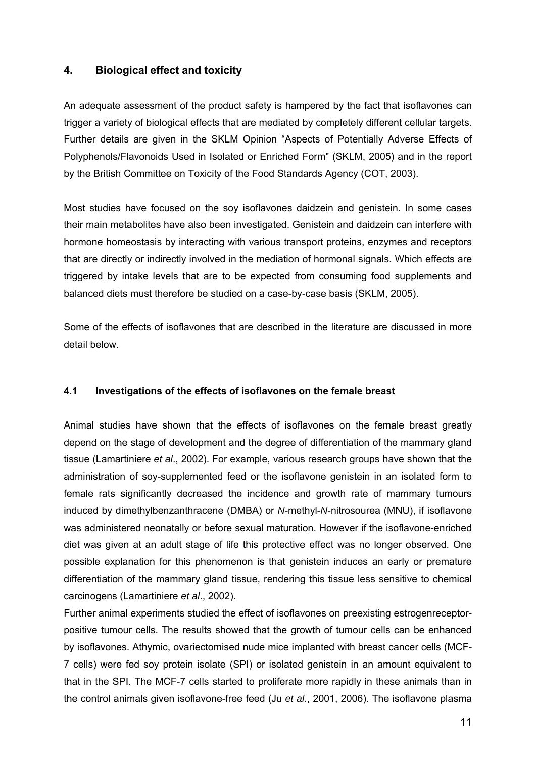## **4. Biological effect and toxicity**

An adequate assessment of the product safety is hampered by the fact that isoflavones can trigger a variety of biological effects that are mediated by completely different cellular targets. Further details are given in the SKLM Opinion "Aspects of Potentially Adverse Effects of Polyphenols/Flavonoids Used in Isolated or Enriched Form" (SKLM, 2005) and in the report by the British Committee on Toxicity of the Food Standards Agency (COT, 2003).

Most studies have focused on the soy isoflavones daidzein and genistein. In some cases their main metabolites have also been investigated. Genistein and daidzein can interfere with hormone homeostasis by interacting with various transport proteins, enzymes and receptors that are directly or indirectly involved in the mediation of hormonal signals. Which effects are triggered by intake levels that are to be expected from consuming food supplements and balanced diets must therefore be studied on a case-by-case basis (SKLM, 2005).

Some of the effects of isoflavones that are described in the literature are discussed in more detail below.

### **4.1 Investigations of the effects of isoflavones on the female breast**

Animal studies have shown that the effects of isoflavones on the female breast greatly depend on the stage of development and the degree of differentiation of the mammary gland tissue (Lamartiniere *et al*., 2002). For example, various research groups have shown that the administration of soy-supplemented feed or the isoflavone genistein in an isolated form to female rats significantly decreased the incidence and growth rate of mammary tumours induced by dimethylbenzanthracene (DMBA) or *N*-methyl-*N*-nitrosourea (MNU), if isoflavone was administered neonatally or before sexual maturation. However if the isoflavone-enriched diet was given at an adult stage of life this protective effect was no longer observed. One possible explanation for this phenomenon is that genistein induces an early or premature differentiation of the mammary gland tissue, rendering this tissue less sensitive to chemical carcinogens (Lamartiniere *et al*., 2002).

Further animal experiments studied the effect of isoflavones on preexisting estrogenreceptorpositive tumour cells. The results showed that the growth of tumour cells can be enhanced by isoflavones. Athymic, ovariectomised nude mice implanted with breast cancer cells (MCF-7 cells) were fed soy protein isolate (SPI) or isolated genistein in an amount equivalent to that in the SPI. The MCF-7 cells started to proliferate more rapidly in these animals than in the control animals given isoflavone-free feed (Ju *et al.*, 2001, 2006). The isoflavone plasma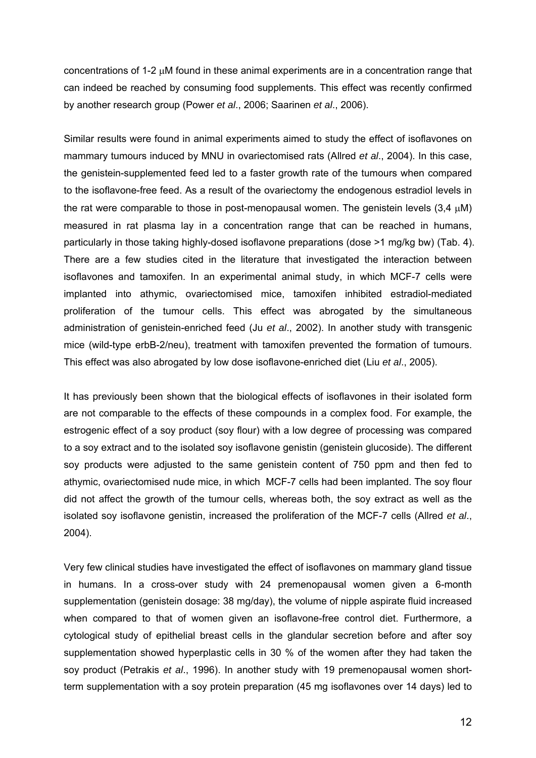concentrations of 1-2  $\mu$ M found in these animal experiments are in a concentration range that can indeed be reached by consuming food supplements. This effect was recently confirmed by another research group (Power *et al*., 2006; Saarinen *et al*., 2006).

Similar results were found in animal experiments aimed to study the effect of isoflavones on mammary tumours induced by MNU in ovariectomised rats (Allred *et al*., 2004). In this case, the genistein-supplemented feed led to a faster growth rate of the tumours when compared to the isoflavone-free feed. As a result of the ovariectomy the endogenous estradiol levels in the rat were comparable to those in post-menopausal women. The genistein levels  $(3.4 \mu M)$ measured in rat plasma lay in a concentration range that can be reached in humans, particularly in those taking highly-dosed isoflavone preparations (dose >1 mg/kg bw) (Tab. 4). There are a few studies cited in the literature that investigated the interaction between isoflavones and tamoxifen. In an experimental animal study, in which MCF-7 cells were implanted into athymic, ovariectomised mice, tamoxifen inhibited estradiol-mediated proliferation of the tumour cells. This effect was abrogated by the simultaneous administration of genistein-enriched feed (Ju *et al*., 2002). In another study with transgenic mice (wild-type erbB-2/neu), treatment with tamoxifen prevented the formation of tumours. This effect was also abrogated by low dose isoflavone-enriched diet (Liu *et al*., 2005).

It has previously been shown that the biological effects of isoflavones in their isolated form are not comparable to the effects of these compounds in a complex food. For example, the estrogenic effect of a soy product (soy flour) with a low degree of processing was compared to a soy extract and to the isolated soy isoflavone genistin (genistein glucoside). The different soy products were adjusted to the same genistein content of 750 ppm and then fed to athymic, ovariectomised nude mice, in which MCF-7 cells had been implanted. The soy flour did not affect the growth of the tumour cells, whereas both, the soy extract as well as the isolated soy isoflavone genistin, increased the proliferation of the MCF-7 cells (Allred *et al*., 2004).

Very few clinical studies have investigated the effect of isoflavones on mammary gland tissue in humans. In a cross-over study with 24 premenopausal women given a 6-month supplementation (genistein dosage: 38 mg/day), the volume of nipple aspirate fluid increased when compared to that of women given an isoflavone-free control diet. Furthermore, a cytological study of epithelial breast cells in the glandular secretion before and after soy supplementation showed hyperplastic cells in 30 % of the women after they had taken the soy product (Petrakis *et al*., 1996). In another study with 19 premenopausal women shortterm supplementation with a soy protein preparation (45 mg isoflavones over 14 days) led to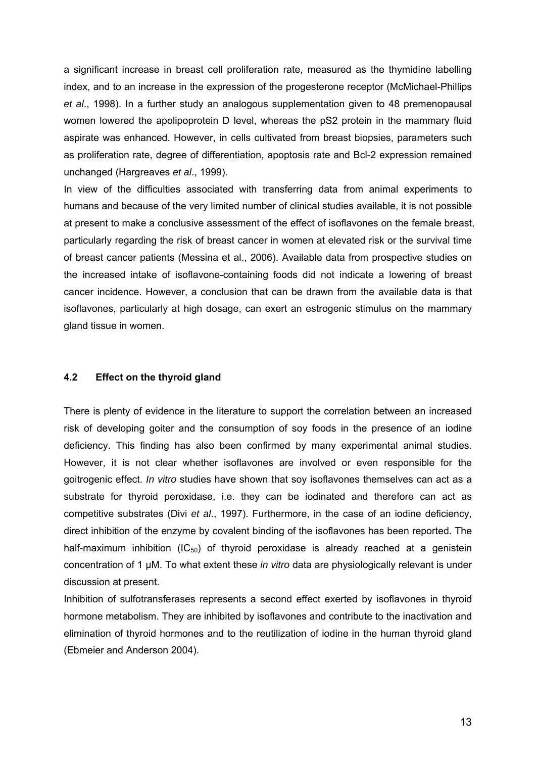a significant increase in breast cell proliferation rate, measured as the thymidine labelling index, and to an increase in the expression of the progesterone receptor (McMichael-Phillips *et al*., 1998). In a further study an analogous supplementation given to 48 premenopausal women lowered the apolipoprotein D level, whereas the pS2 protein in the mammary fluid aspirate was enhanced. However, in cells cultivated from breast biopsies, parameters such as proliferation rate, degree of differentiation, apoptosis rate and Bcl-2 expression remained unchanged (Hargreaves *et al*., 1999).

In view of the difficulties associated with transferring data from animal experiments to humans and because of the very limited number of clinical studies available, it is not possible at present to make a conclusive assessment of the effect of isoflavones on the female breast, particularly regarding the risk of breast cancer in women at elevated risk or the survival time of breast cancer patients (Messina et al., 2006). Available data from prospective studies on the increased intake of isoflavone-containing foods did not indicate a lowering of breast cancer incidence. However, a conclusion that can be drawn from the available data is that isoflavones, particularly at high dosage, can exert an estrogenic stimulus on the mammary gland tissue in women.

#### **4.2 Effect on the thyroid gland**

There is plenty of evidence in the literature to support the correlation between an increased risk of developing goiter and the consumption of soy foods in the presence of an iodine deficiency. This finding has also been confirmed by many experimental animal studies. However, it is not clear whether isoflavones are involved or even responsible for the goitrogenic effect. *In vitro* studies have shown that soy isoflavones themselves can act as a substrate for thyroid peroxidase, i.e. they can be iodinated and therefore can act as competitive substrates (Divi *et al*., 1997). Furthermore, in the case of an iodine deficiency, direct inhibition of the enzyme by covalent binding of the isoflavones has been reported. The half-maximum inhibition ( $IC_{50}$ ) of thyroid peroxidase is already reached at a genistein concentration of 1 μM. To what extent these *in vitro* data are physiologically relevant is under discussion at present.

Inhibition of sulfotransferases represents a second effect exerted by isoflavones in thyroid hormone metabolism. They are inhibited by isoflavones and contribute to the inactivation and elimination of thyroid hormones and to the reutilization of iodine in the human thyroid gland (Ebmeier and Anderson 2004).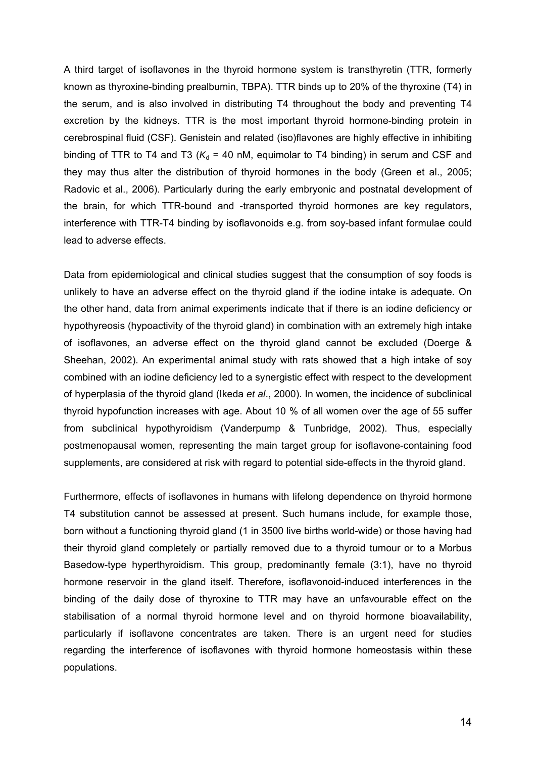A third target of isoflavones in the thyroid hormone system is transthyretin (TTR, formerly known as thyroxine-binding prealbumin, TBPA). TTR binds up to 20% of the thyroxine (T4) in the serum, and is also involved in distributing T4 throughout the body and preventing T4 excretion by the kidneys. TTR is the most important thyroid hormone-binding protein in cerebrospinal fluid (CSF). Genistein and related (iso)flavones are highly effective in inhibiting binding of TTR to T4 and T3 ( $K_d$  = 40 nM, equimolar to T4 binding) in serum and CSF and they may thus alter the distribution of thyroid hormones in the body (Green et al., 2005; Radovic et al., 2006). Particularly during the early embryonic and postnatal development of the brain, for which TTR-bound and -transported thyroid hormones are key regulators, interference with TTR-T4 binding by isoflavonoids e.g. from soy-based infant formulae could lead to adverse effects.

Data from epidemiological and clinical studies suggest that the consumption of soy foods is unlikely to have an adverse effect on the thyroid gland if the iodine intake is adequate. On the other hand, data from animal experiments indicate that if there is an iodine deficiency or hypothyreosis (hypoactivity of the thyroid gland) in combination with an extremely high intake of isoflavones, an adverse effect on the thyroid gland cannot be excluded (Doerge & Sheehan, 2002). An experimental animal study with rats showed that a high intake of soy combined with an iodine deficiency led to a synergistic effect with respect to the development of hyperplasia of the thyroid gland (Ikeda *et al*., 2000). In women, the incidence of subclinical thyroid hypofunction increases with age. About 10 % of all women over the age of 55 suffer from subclinical hypothyroidism (Vanderpump & Tunbridge, 2002). Thus, especially postmenopausal women, representing the main target group for isoflavone-containing food supplements, are considered at risk with regard to potential side-effects in the thyroid gland.

Furthermore, effects of isoflavones in humans with lifelong dependence on thyroid hormone T4 substitution cannot be assessed at present. Such humans include, for example those, born without a functioning thyroid gland (1 in 3500 live births world-wide) or those having had their thyroid gland completely or partially removed due to a thyroid tumour or to a Morbus Basedow-type hyperthyroidism. This group, predominantly female (3:1), have no thyroid hormone reservoir in the gland itself. Therefore, isoflavonoid-induced interferences in the binding of the daily dose of thyroxine to TTR may have an unfavourable effect on the stabilisation of a normal thyroid hormone level and on thyroid hormone bioavailability, particularly if isoflavone concentrates are taken. There is an urgent need for studies regarding the interference of isoflavones with thyroid hormone homeostasis within these populations.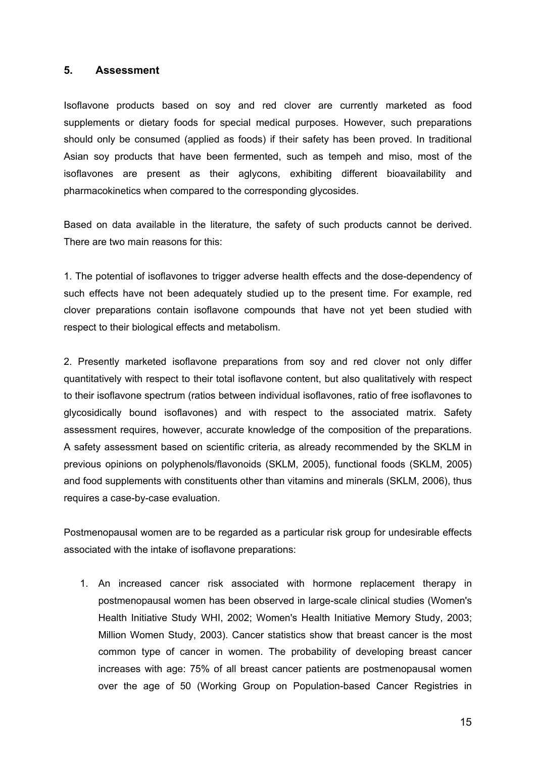### **5. Assessment**

Isoflavone products based on soy and red clover are currently marketed as food supplements or dietary foods for special medical purposes. However, such preparations should only be consumed (applied as foods) if their safety has been proved. In traditional Asian soy products that have been fermented, such as tempeh and miso, most of the isoflavones are present as their aglycons, exhibiting different bioavailability and pharmacokinetics when compared to the corresponding glycosides.

Based on data available in the literature, the safety of such products cannot be derived. There are two main reasons for this:

1. The potential of isoflavones to trigger adverse health effects and the dose-dependency of such effects have not been adequately studied up to the present time. For example, red clover preparations contain isoflavone compounds that have not yet been studied with respect to their biological effects and metabolism.

2. Presently marketed isoflavone preparations from soy and red clover not only differ quantitatively with respect to their total isoflavone content, but also qualitatively with respect to their isoflavone spectrum (ratios between individual isoflavones, ratio of free isoflavones to glycosidically bound isoflavones) and with respect to the associated matrix. Safety assessment requires, however, accurate knowledge of the composition of the preparations. A safety assessment based on scientific criteria, as already recommended by the SKLM in previous opinions on polyphenols/flavonoids (SKLM, 2005), functional foods (SKLM, 2005) and food supplements with constituents other than vitamins and minerals (SKLM, 2006), thus requires a case-by-case evaluation.

Postmenopausal women are to be regarded as a particular risk group for undesirable effects associated with the intake of isoflavone preparations:

1. An increased cancer risk associated with hormone replacement therapy in postmenopausal women has been observed in large-scale clinical studies (Women's Health Initiative Study WHI, 2002; Women's Health Initiative Memory Study, 2003; Million Women Study, 2003). Cancer statistics show that breast cancer is the most common type of cancer in women. The probability of developing breast cancer increases with age: 75% of all breast cancer patients are postmenopausal women over the age of 50 (Working Group on Population-based Cancer Registries in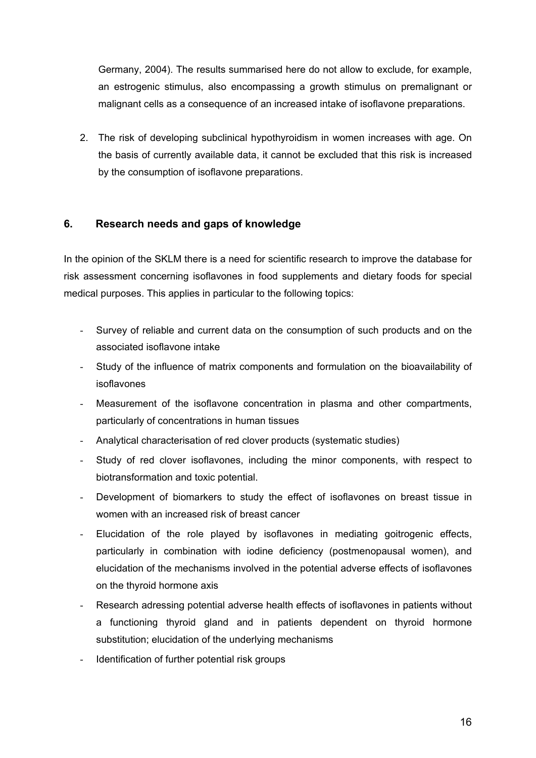Germany, 2004). The results summarised here do not allow to exclude, for example, an estrogenic stimulus, also encompassing a growth stimulus on premalignant or malignant cells as a consequence of an increased intake of isoflavone preparations.

2. The risk of developing subclinical hypothyroidism in women increases with age. On the basis of currently available data, it cannot be excluded that this risk is increased by the consumption of isoflavone preparations.

## **6. Research needs and gaps of knowledge**

In the opinion of the SKLM there is a need for scientific research to improve the database for risk assessment concerning isoflavones in food supplements and dietary foods for special medical purposes. This applies in particular to the following topics:

- Survey of reliable and current data on the consumption of such products and on the associated isoflavone intake
- Study of the influence of matrix components and formulation on the bioavailability of isoflavones
- Measurement of the isoflavone concentration in plasma and other compartments, particularly of concentrations in human tissues
- Analytical characterisation of red clover products (systematic studies)
- Study of red clover isoflavones, including the minor components, with respect to biotransformation and toxic potential.
- Development of biomarkers to study the effect of isoflavones on breast tissue in women with an increased risk of breast cancer
- Elucidation of the role played by isoflavones in mediating goitrogenic effects, particularly in combination with iodine deficiency (postmenopausal women), and elucidation of the mechanisms involved in the potential adverse effects of isoflavones on the thyroid hormone axis
- Research adressing potential adverse health effects of isoflavones in patients without a functioning thyroid gland and in patients dependent on thyroid hormone substitution; elucidation of the underlying mechanisms
- Identification of further potential risk groups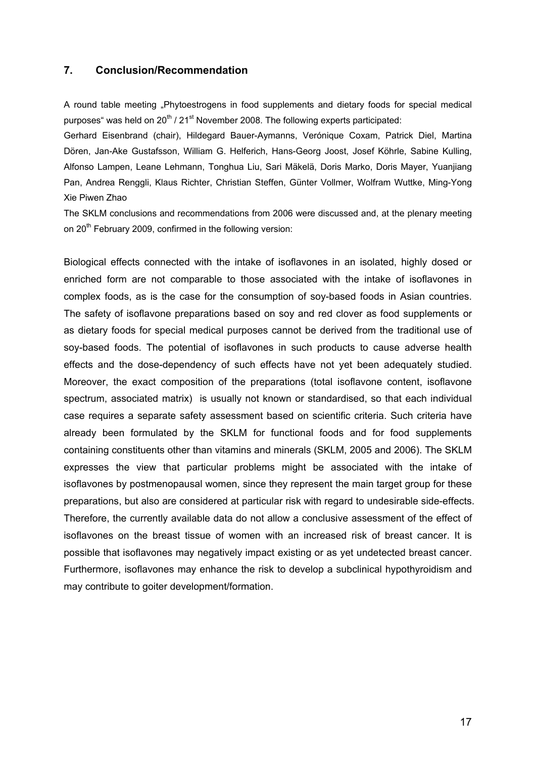## **7. Conclusion/Recommendation**

A round table meeting "Phytoestrogens in food supplements and dietary foods for special medical purposes" was held on  $20^{th}$  /  $21^{st}$  November 2008. The following experts participated:

Gerhard Eisenbrand (chair), Hildegard Bauer-Aymanns, Verónique Coxam, Patrick Diel, Martina Dören, Jan-Ake Gustafsson, William G. Helferich, Hans-Georg Joost, Josef Köhrle, Sabine Kulling, Alfonso Lampen, Leane Lehmann, Tonghua Liu, Sari Mäkelä, Doris Marko, Doris Mayer, Yuanjiang Pan, Andrea Renggli, Klaus Richter, Christian Steffen, Günter Vollmer, Wolfram Wuttke, Ming-Yong Xie Piwen Zhao

The SKLM conclusions and recommendations from 2006 were discussed and, at the plenary meeting on 20<sup>th</sup> February 2009, confirmed in the following version:

Biological effects connected with the intake of isoflavones in an isolated, highly dosed or enriched form are not comparable to those associated with the intake of isoflavones in complex foods, as is the case for the consumption of soy-based foods in Asian countries. The safety of isoflavone preparations based on soy and red clover as food supplements or as dietary foods for special medical purposes cannot be derived from the traditional use of soy-based foods. The potential of isoflavones in such products to cause adverse health effects and the dose-dependency of such effects have not yet been adequately studied. Moreover, the exact composition of the preparations (total isoflavone content, isoflavone spectrum, associated matrix) is usually not known or standardised, so that each individual case requires a separate safety assessment based on scientific criteria. Such criteria have already been formulated by the SKLM for functional foods and for food supplements containing constituents other than vitamins and minerals (SKLM, 2005 and 2006). The SKLM expresses the view that particular problems might be associated with the intake of isoflavones by postmenopausal women, since they represent the main target group for these preparations, but also are considered at particular risk with regard to undesirable side-effects. Therefore, the currently available data do not allow a conclusive assessment of the effect of isoflavones on the breast tissue of women with an increased risk of breast cancer. It is possible that isoflavones may negatively impact existing or as yet undetected breast cancer. Furthermore, isoflavones may enhance the risk to develop a subclinical hypothyroidism and may contribute to goiter development/formation.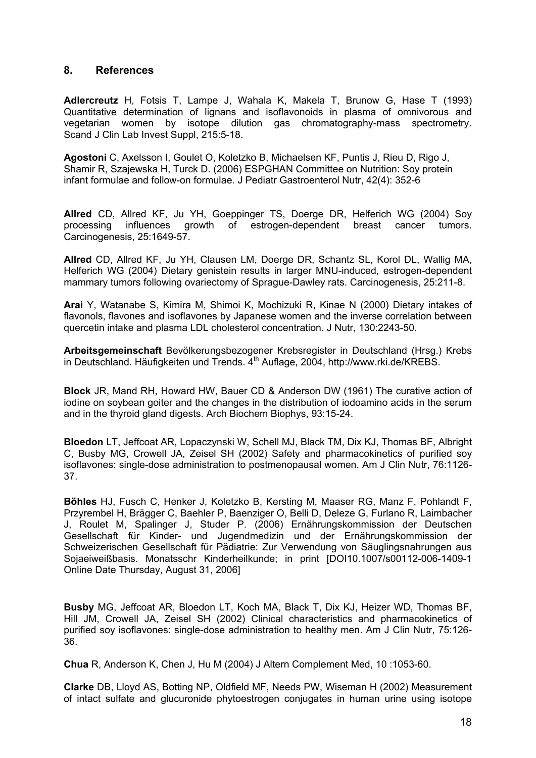## **8. References**

**Adlercreutz** H, Fotsis T, Lampe J, Wahala K, Makela T, Brunow G, Hase T (1993) Quantitative determination of lignans and isoflavonoids in plasma of omnivorous and vegetarian women by isotope dilution gas chromatography-mass spectrometry. Scand J Clin Lab Invest Suppl, 215:5-18.

**Agostoni** C, Axelsson I, Goulet O, Koletzko B, Michaelsen KF, Puntis J, Rieu D, Rigo J, Shamir R, Szajewska H, Turck D. (2006) ESPGHAN Committee on Nutrition: Soy protein infant formulae and follow-on formulae. J Pediatr Gastroenterol Nutr, 42(4): 352-6

**Allred** CD, Allred KF, Ju YH, Goeppinger TS, Doerge DR, Helferich WG (2004) Soy processing influences growth of estrogen-dependent breast cancer tumors. Carcinogenesis, 25:1649-57.

**Allred** CD, Allred KF, Ju YH, Clausen LM, Doerge DR, Schantz SL, Korol DL, Wallig MA, Helferich WG (2004) Dietary genistein results in larger MNU-induced, estrogen-dependent mammary tumors following ovariectomy of Sprague-Dawley rats. Carcinogenesis, 25:211-8.

**Arai** Y, Watanabe S, Kimira M, Shimoi K, Mochizuki R, Kinae N (2000) Dietary intakes of flavonols, flavones and isoflavones by Japanese women and the inverse correlation between quercetin intake and plasma LDL cholesterol concentration. J Nutr, 130:2243-50.

**Arbeitsgemeinschaft** Bevölkerungsbezogener Krebsregister in Deutschland (Hrsg.) Krebs in Deutschland. Häufigkeiten und Trends.  $4^{\text{th}}$  Auflage, 2004, http://www.rki.de/KREBS.

**Block** JR, Mand RH, Howard HW, Bauer CD & Anderson DW (1961) The curative action of iodine on soybean goiter and the changes in the distribution of iodoamino acids in the serum and in the thyroid gland digests. Arch Biochem Biophys, 93:15-24.

**Bloedon** LT, Jeffcoat AR, Lopaczynski W, Schell MJ, Black TM, Dix KJ, Thomas BF, Albright C, Busby MG, Crowell JA, Zeisel SH (2002) Safety and pharmacokinetics of purified soy isoflavones: single-dose administration to postmenopausal women. Am J Clin Nutr, 76:1126- 37.

**Böhles** HJ, Fusch C, Henker J, Koletzko B, Kersting M, Maaser RG, Manz F, Pohlandt F, Przyrembel H, Brägger C, Baehler P, Baenziger O, Belli D, Deleze G, Furlano R, Laimbacher J, Roulet M, Spalinger J, Studer P. (2006) Ernährungskommission der Deutschen Gesellschaft für Kinder- und Jugendmedizin und der Ernährungskommission der Schweizerischen Gesellschaft für Pädiatrie: Zur Verwendung von Säuglingsnahrungen aus Sojaeiweißbasis. Monatsschr Kinderheilkunde; in print [DOI10.1007/s00112-006-1409-1 Online Date Thursday, August 31, 2006]

**Busby** MG, Jeffcoat AR, Bloedon LT, Koch MA, Black T, Dix KJ, Heizer WD, Thomas BF, Hill JM, Crowell JA, Zeisel SH (2002) Clinical characteristics and pharmacokinetics of purified soy isoflavones: single-dose administration to healthy men. Am J Clin Nutr, 75:126- 36.

**Chua** R, Anderson K, Chen J, Hu M (2004) J Altern Complement Med, 10 :1053-60.

**Clarke** DB, Lloyd AS, Botting NP, Oldfield MF, Needs PW, Wiseman H (2002) Measurement of intact sulfate and glucuronide phytoestrogen conjugates in human urine using isotope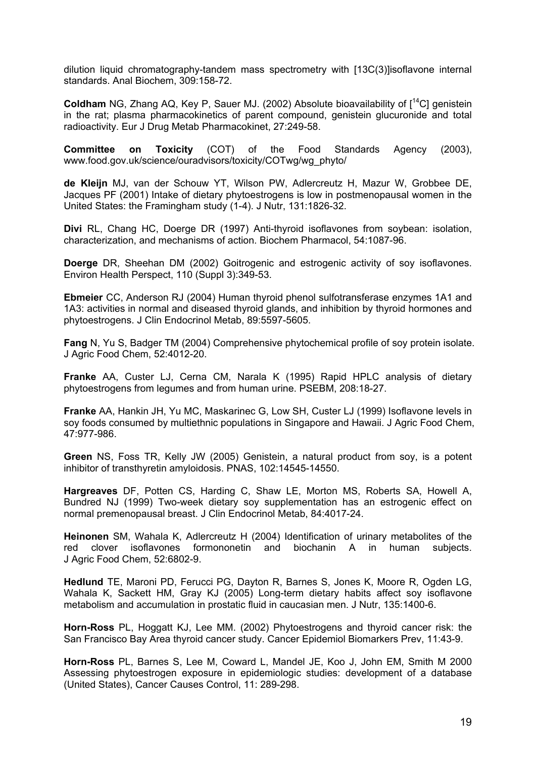dilution liquid chromatography-tandem mass spectrometry with [13C(3)]isoflavone internal standards. Anal Biochem, 309:158-72.

**Coldham** NG, Zhang AQ, Key P, Sauer MJ. (2002) Absolute bioavailability of  $I^{14}$ Cl genistein in the rat; plasma pharmacokinetics of parent compound, genistein glucuronide and total radioactivity. Eur J Drug Metab Pharmacokinet, 27:249-58.

**Committee on Toxicity** (COT) of the Food Standards Agency (2003), www.food.gov.uk/science/ouradvisors/toxicity/COTwg/wg\_phyto/

**de Kleijn** MJ, van der Schouw YT, Wilson PW, Adlercreutz H, Mazur W, Grobbee DE, Jacques PF (2001) Intake of dietary phytoestrogens is low in postmenopausal women in the United States: the Framingham study (1-4). J Nutr, 131:1826-32.

**Divi** RL, Chang HC, Doerge DR (1997) Anti-thyroid isoflavones from soybean: isolation, characterization, and mechanisms of action. Biochem Pharmacol, 54:1087-96.

**Doerge** DR, Sheehan DM (2002) Goitrogenic and estrogenic activity of soy isoflavones. Environ Health Perspect, 110 (Suppl 3):349-53.

**Ebmeier** CC, Anderson RJ (2004) Human thyroid phenol sulfotransferase enzymes 1A1 and 1A3: activities in normal and diseased thyroid glands, and inhibition by thyroid hormones and phytoestrogens. J Clin Endocrinol Metab, 89:5597-5605.

**Fang** N, Yu S, Badger TM (2004) Comprehensive phytochemical profile of soy protein isolate. J Agric Food Chem, 52:4012-20.

**Franke** AA, Custer LJ, Cerna CM, Narala K (1995) Rapid HPLC analysis of dietary phytoestrogens from legumes and from human urine. PSEBM, 208:18-27.

**Franke** AA, Hankin JH, Yu MC, Maskarinec G, Low SH, Custer LJ (1999) Isoflavone levels in soy foods consumed by multiethnic populations in Singapore and Hawaii. J Agric Food Chem, 47:977-986.

**Green** NS, Foss TR, Kelly JW (2005) Genistein, a natural product from soy, is a potent inhibitor of transthyretin amyloidosis. PNAS, 102:14545-14550.

**Hargreaves** DF, Potten CS, Harding C, Shaw LE, Morton MS, Roberts SA, Howell A, Bundred NJ (1999) Two-week dietary soy supplementation has an estrogenic effect on normal premenopausal breast. J Clin Endocrinol Metab, 84:4017-24.

**Heinonen** SM, Wahala K, Adlercreutz H (2004) Identification of urinary metabolites of the red clover isoflavones formononetin and biochanin A in human subjects. J Agric Food Chem, 52:6802-9.

**Hedlund** TE, Maroni PD, Ferucci PG, Dayton R, Barnes S, Jones K, Moore R, Ogden LG, Wahala K, Sackett HM, Gray KJ (2005) Long-term dietary habits affect soy isoflavone metabolism and accumulation in prostatic fluid in caucasian men. J Nutr, 135:1400-6.

**Horn-Ross** PL, Hoggatt KJ, Lee MM. (2002) Phytoestrogens and thyroid cancer risk: the San Francisco Bay Area thyroid cancer study. Cancer Epidemiol Biomarkers Prev, 11:43-9.

**Horn-Ross** PL, Barnes S, Lee M, Coward L, Mandel JE, Koo J, John EM, Smith M 2000 Assessing phytoestrogen exposure in epidemiologic studies: development of a database (United States), Cancer Causes Control, 11: 289-298.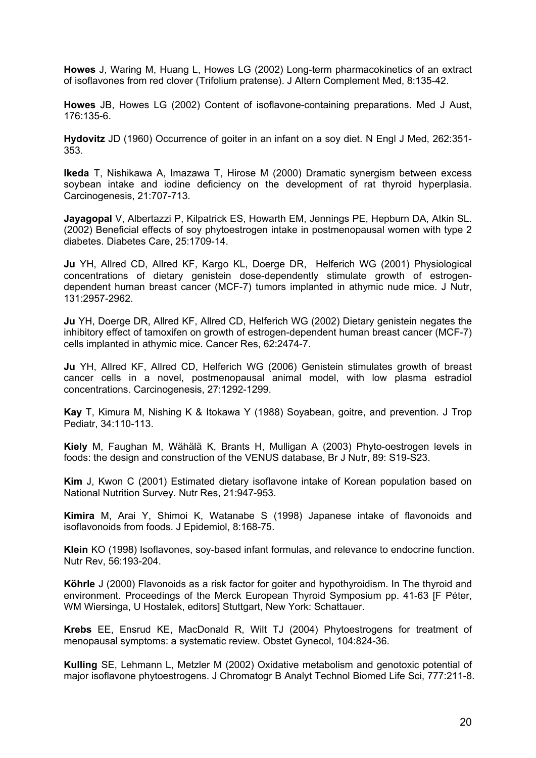**Howes** J, Waring M, Huang L, Howes LG (2002) Long-term pharmacokinetics of an extract of isoflavones from red clover (Trifolium pratense). J Altern Complement Med, 8:135-42.

**Howes** JB, Howes LG (2002) Content of isoflavone-containing preparations. Med J Aust, 176:135-6.

**Hydovitz** JD (1960) Occurrence of goiter in an infant on a soy diet. N Engl J Med, 262:351- 353.

**Ikeda** T, Nishikawa A, Imazawa T, Hirose M (2000) Dramatic synergism between excess soybean intake and iodine deficiency on the development of rat thyroid hyperplasia. Carcinogenesis, 21:707-713.

**Jayagopal** V, Albertazzi P, Kilpatrick ES, Howarth EM, Jennings PE, Hepburn DA, Atkin SL. (2002) Beneficial effects of soy phytoestrogen intake in postmenopausal women with type 2 diabetes. Diabetes Care, 25:1709-14.

**Ju** YH, Allred CD, Allred KF, Kargo KL, Doerge DR, Helferich WG (2001) Physiological concentrations of dietary genistein dose-dependently stimulate growth of estrogendependent human breast cancer (MCF-7) tumors implanted in athymic nude mice. J Nutr, 131:2957-2962.

**Ju** YH, Doerge DR, Allred KF, Allred CD, Helferich WG (2002) Dietary genistein negates the inhibitory effect of tamoxifen on growth of estrogen-dependent human breast cancer (MCF-7) cells implanted in athymic mice. Cancer Res, 62:2474-7.

**Ju** YH, Allred KF, Allred CD, Helferich WG (2006) Genistein stimulates growth of breast cancer cells in a novel, postmenopausal animal model, with low plasma estradiol concentrations. Carcinogenesis, 27:1292-1299.

**Kay** T, Kimura M, Nishing K & Itokawa Y (1988) Soyabean, goitre, and prevention. J Trop Pediatr, 34:110-113.

**Kiely** M, Faughan M, Wähälä K, Brants H, Mulligan A (2003) Phyto-oestrogen levels in foods: the design and construction of the VENUS database, Br J Nutr, 89: S19-S23.

**Kim** J, Kwon C (2001) Estimated dietary isoflavone intake of Korean population based on National Nutrition Survey. Nutr Res, 21:947-953.

**Kimira** M, Arai Y, Shimoi K, Watanabe S (1998) Japanese intake of flavonoids and isoflavonoids from foods. J Epidemiol, 8:168-75.

**Klein** KO (1998) Isoflavones, soy-based infant formulas, and relevance to endocrine function. Nutr Rev, 56:193-204.

**Köhrle** J (2000) Flavonoids as a risk factor for goiter and hypothyroidism. In The thyroid and environment. Proceedings of the Merck European Thyroid Symposium pp. 41-63 [F Péter, WM Wiersinga, U Hostalek, editors] Stuttgart, New York: Schattauer.

**Krebs** EE, Ensrud KE, MacDonald R, Wilt TJ (2004) Phytoestrogens for treatment of menopausal symptoms: a systematic review. Obstet Gynecol, 104:824-36.

**Kulling** SE, Lehmann L, Metzler M (2002) Oxidative metabolism and genotoxic potential of major isoflavone phytoestrogens. J Chromatogr B Analyt Technol Biomed Life Sci, 777:211-8.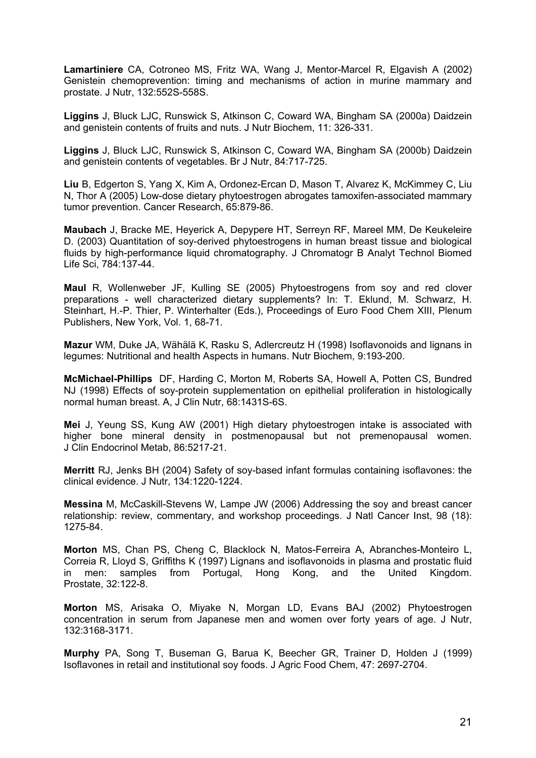**Lamartiniere** CA, Cotroneo MS, Fritz WA, Wang J, Mentor-Marcel R, Elgavish A (2002) Genistein chemoprevention: timing and mechanisms of action in murine mammary and prostate. J Nutr, 132:552S-558S.

**Liggins** J, Bluck LJC, Runswick S, Atkinson C, Coward WA, Bingham SA (2000a) Daidzein and genistein contents of fruits and nuts. J Nutr Biochem, 11: 326-331.

**Liggins** J, Bluck LJC, Runswick S, Atkinson C, Coward WA, Bingham SA (2000b) Daidzein and genistein contents of vegetables. Br J Nutr, 84:717-725.

**Liu** B, Edgerton S, Yang X, Kim A, Ordonez-Ercan D, Mason T, Alvarez K, McKimmey C, Liu N, Thor A (2005) Low-dose dietary phytoestrogen abrogates tamoxifen-associated mammary tumor prevention. Cancer Research, 65:879-86.

**Maubach** J, Bracke ME, Heyerick A, Depypere HT, Serreyn RF, Mareel MM, De Keukeleire D. (2003) Quantitation of soy-derived phytoestrogens in human breast tissue and biological fluids by high-performance liquid chromatography. J Chromatogr B Analyt Technol Biomed Life Sci, 784:137-44.

**Maul** R, Wollenweber JF, Kulling SE (2005) Phytoestrogens from soy and red clover preparations - well characterized dietary supplements? In: T. Eklund, M. Schwarz, H. Steinhart, H.-P. Thier, P. Winterhalter (Eds.), Proceedings of Euro Food Chem XIII, Plenum Publishers, New York, Vol. 1, 68-71.

**Mazur** WM, Duke JA, Wähälä K, Rasku S, Adlercreutz H (1998) Isoflavonoids and lignans in legumes: Nutritional and health Aspects in humans. Nutr Biochem, 9:193-200.

**McMichael-Phillips** DF, Harding C, Morton M, Roberts SA, Howell A, Potten CS, Bundred NJ (1998) Effects of soy-protein supplementation on epithelial proliferation in histologically normal human breast. A, J Clin Nutr, 68:1431S-6S.

**Mei** J, Yeung SS, Kung AW (2001) High dietary phytoestrogen intake is associated with higher bone mineral density in postmenopausal but not premenopausal women. J Clin Endocrinol Metab, 86:5217-21.

**Merritt** RJ, Jenks BH (2004) Safety of soy-based infant formulas containing isoflavones: the clinical evidence. J Nutr, 134:1220-1224.

**Messina** M, McCaskill-Stevens W, Lampe JW (2006) Addressing the soy and breast cancer relationship: review, commentary, and workshop proceedings. J Natl Cancer Inst, 98 (18): 1275-84.

**Morton** MS, Chan PS, Cheng C, Blacklock N, Matos-Ferreira A, Abranches-Monteiro L, Correia R, Lloyd S, Griffiths K (1997) Lignans and isoflavonoids in plasma and prostatic fluid in men: samples from Portugal, Hong Kong, and the United Kingdom. Prostate, 32:122-8.

**Morton** MS, Arisaka O, Miyake N, Morgan LD, Evans BAJ (2002) Phytoestrogen concentration in serum from Japanese men and women over forty years of age. J Nutr, 132:3168-3171.

**Murphy** PA, Song T, Buseman G, Barua K, Beecher GR, Trainer D, Holden J (1999) Isoflavones in retail and institutional soy foods. J Agric Food Chem, 47: 2697-2704.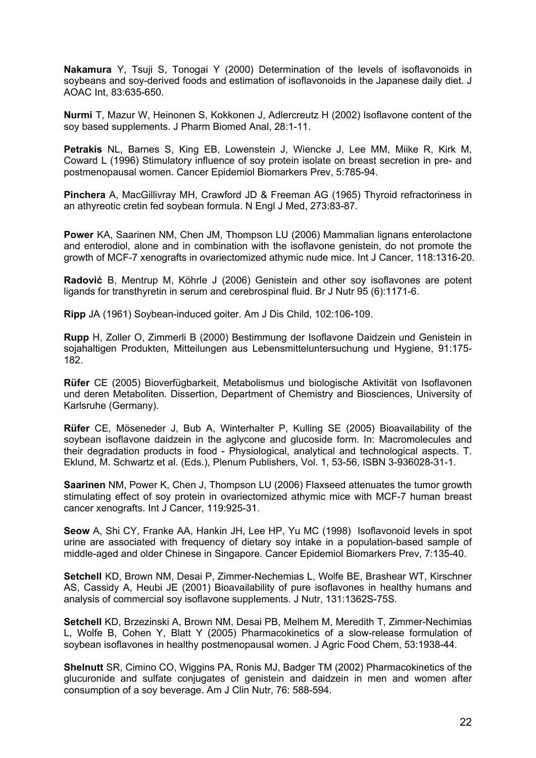**Nakamura** Y, Tsuji S, Tonogai Y (2000) Determination of the levels of isoflavonoids in soybeans and soy-derived foods and estimation of isoflavonoids in the Japanese daily diet. J AOAC Int, 83:635-650.

**Nurmi** T, Mazur W, Heinonen S, Kokkonen J, Adlercreutz H (2002) Isoflavone content of the soy based supplements. J Pharm Biomed Anal, 28:1-11.

**Petrakis** NL, Barnes S, King EB, Lowenstein J, Wiencke J, Lee MM, Miike R, Kirk M, Coward L (1996) Stimulatory influence of soy protein isolate on breast secretion in pre- and postmenopausal women. Cancer Epidemiol Biomarkers Prev, 5:785-94.

**Pinchera** A, MacGillivray MH, Crawford JD & Freeman AG (1965) Thyroid refractoriness in an athyreotic cretin fed soybean formula. N Engl J Med, 273:83-87.

**Power** KA, Saarinen NM, Chen JM, Thompson LU (2006) Mammalian lignans enterolactone and enterodiol, alone and in combination with the isoflavone genistein, do not promote the growth of MCF-7 xenografts in ovariectomized athymic nude mice. Int J Cancer, 118:1316-20.

**Radović** B, Mentrup M, Köhrle J (2006) Genistein and other soy isoflavones are potent ligands for transthyretin in serum and cerebrospinal fluid. Br J Nutr 95 (6):1171-6.

**Ripp** JA (1961) Soybean-induced goiter. Am J Dis Child, 102:106-109.

**Rupp** H, Zoller O, Zimmerli B (2000) Bestimmung der Isoflavone Daidzein und Genistein in sojahaltigen Produkten, Mitteilungen aus Lebensmitteluntersuchung und Hygiene, 91:175- 182.

**Rüfer** CE (2005) Bioverfügbarkeit, Metabolismus und biologische Aktivität von Isoflavonen und deren Metaboliten. Dissertion, Department of Chemistry and Biosciences, University of Karlsruhe (Germany).

**Rüfer** CE, Möseneder J, Bub A, Winterhalter P, Kulling SE (2005) Bioavailability of the soybean isoflavone daidzein in the aglycone and glucoside form. In: Macromolecules and their degradation products in food - Physiological, analytical and technological aspects. T. Eklund, M. Schwartz et al. (Eds.), Plenum Publishers, Vol. 1, 53-56, ISBN 3-936028-31-1.

**Saarinen** NM, Power K, Chen J, Thompson LU (2006) Flaxseed attenuates the tumor growth stimulating effect of soy protein in ovariectomized athymic mice with MCF-7 human breast cancer xenografts. Int J Cancer, 119:925-31.

**Seow** A, Shi CY, Franke AA, Hankin JH, Lee HP, Yu MC (1998) Isoflavonoid levels in spot urine are associated with frequency of dietary soy intake in a population-based sample of middle-aged and older Chinese in Singapore. Cancer Epidemiol Biomarkers Prev, 7:135-40.

**Setchell** KD, Brown NM, Desai P, Zimmer-Nechemias L, Wolfe BE, Brashear WT, Kirschner AS, Cassidy A, Heubi JE (2001) Bioavailability of pure isoflavones in healthy humans and analysis of commercial soy isoflavone supplements. J Nutr, 131:1362S-75S.

**Setchell** KD, Brzezinski A, Brown NM, Desai PB, Melhem M, Meredith T, Zimmer-Nechimias L, Wolfe B, Cohen Y, Blatt Y (2005) Pharmacokinetics of a slow-release formulation of soybean isoflavones in healthy postmenopausal women. J Agric Food Chem, 53:1938-44.

**Shelnutt** SR, Cimino CO, Wiggins PA, Ronis MJ, Badger TM (2002) Pharmacokinetics of the glucuronide and sulfate conjugates of genistein and daidzein in men and women after consumption of a soy beverage. Am J Clin Nutr, 76: 588-594.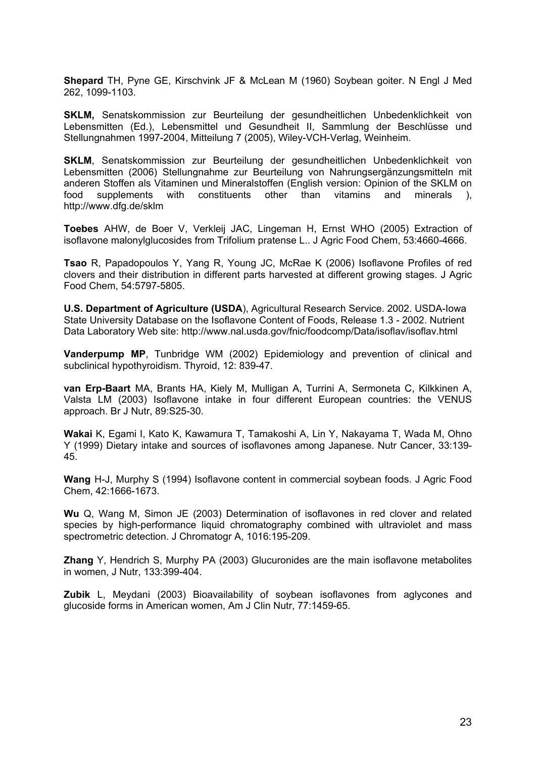**Shepard** TH, Pyne GE, Kirschvink JF & McLean M (1960) Soybean goiter. N Engl J Med 262, 1099-1103.

**SKLM,** Senatskommission zur Beurteilung der gesundheitlichen Unbedenklichkeit von Lebensmitten (Ed.), Lebensmittel und Gesundheit II, Sammlung der Beschlüsse und Stellungnahmen 1997-2004, Mitteilung 7 (2005), Wiley-VCH-Verlag, Weinheim.

**SKLM**, Senatskommission zur Beurteilung der gesundheitlichen Unbedenklichkeit von Lebensmitten (2006) Stellungnahme zur Beurteilung von Nahrungsergänzungsmitteln mit anderen Stoffen als Vitaminen und Mineralstoffen (English version: Opinion of the SKLM on food supplements with constituents other than vitamins and minerals ), http://www.dfg.de/sklm

**Toebes** AHW, de Boer V, Verkleij JAC, Lingeman H, Ernst WHO (2005) Extraction of isoflavone malonylglucosides from Trifolium pratense L.. J Agric Food Chem, 53:4660-4666.

**Tsao** R, Papadopoulos Y, Yang R, Young JC, McRae K (2006) Isoflavone Profiles of red clovers and their distribution in different parts harvested at different growing stages. J Agric Food Chem, 54:5797-5805.

**U.S. Department of Agriculture (USDA**), Agricultural Research Service. 2002. USDA-Iowa State University Database on the Isoflavone Content of Foods, Release 1.3 - 2002. Nutrient Data Laboratory Web site: http://www.nal.usda.gov/fnic/foodcomp/Data/isoflav/isoflav.html

**Vanderpump MP**, Tunbridge WM (2002) Epidemiology and prevention of clinical and subclinical hypothyroidism. Thyroid, 12: 839-47.

**van Erp-Baart** MA, Brants HA, Kiely M, Mulligan A, Turrini A, Sermoneta C, Kilkkinen A, Valsta LM (2003) Isoflavone intake in four different European countries: the VENUS approach. Br J Nutr, 89:S25-30.

**Wakai** K, Egami I, Kato K, Kawamura T, Tamakoshi A, Lin Y, Nakayama T, Wada M, Ohno Y (1999) Dietary intake and sources of isoflavones among Japanese. Nutr Cancer, 33:139- 45.

**Wang** H-J, Murphy S (1994) Isoflavone content in commercial soybean foods. J Agric Food Chem, 42:1666-1673.

**Wu** Q, Wang M, Simon JE (2003) Determination of isoflavones in red clover and related species by high-performance liquid chromatography combined with ultraviolet and mass spectrometric detection. J Chromatogr A, 1016:195-209.

**Zhang** Y, Hendrich S, Murphy PA (2003) Glucuronides are the main isoflavone metabolites in women, J Nutr, 133:399-404.

**Zubik** L, Meydani (2003) Bioavailability of soybean isoflavones from aglycones and glucoside forms in American women, Am J Clin Nutr, 77:1459-65.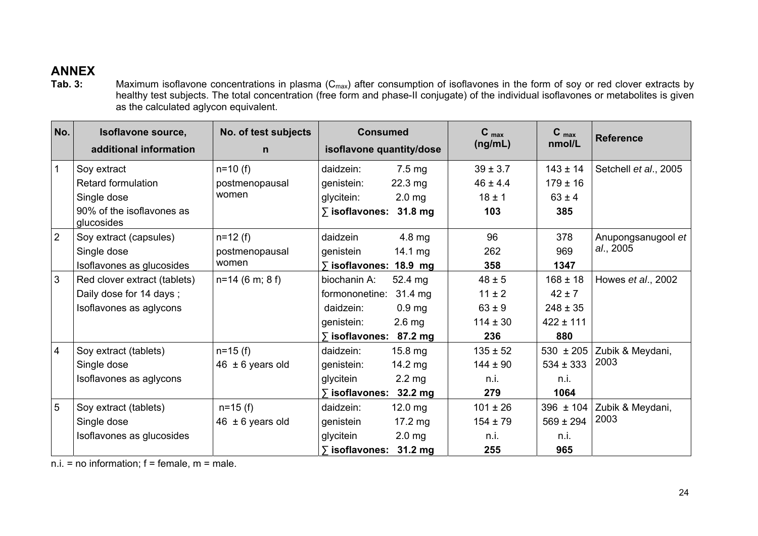## **ANNEX**

**Tab. 3:** Maximum isoflavone concentrations in plasma (C<sub>max</sub>) after consumption of isoflavones in the form of soy or red clover extracts by healthy test subjects. The total concentration (free form and phase-II conjugate) of the individual isoflavones or metabolites is given as the calculated aglycon equivalent.

| No.            | Isoflavone source,<br>additional information | No. of test subjects<br>$\mathsf{n}$ | <b>Consumed</b><br>isoflavone quantity/dose | $C_{max}$<br>(ng/mL) | $C_{max}$<br>nmol/L | <b>Reference</b>      |
|----------------|----------------------------------------------|--------------------------------------|---------------------------------------------|----------------------|---------------------|-----------------------|
| $\mathbf{1}$   | Soy extract                                  | $n=10$ (f)                           | $7.5 \text{ mg}$<br>daidzein:               | $39 \pm 3.7$         | $143 \pm 14$        | Setchell et al., 2005 |
|                | <b>Retard formulation</b>                    | postmenopausal                       | genistein:<br>$22.3 \text{ mg}$             | $46 \pm 4.4$         | $179 \pm 16$        |                       |
|                | Single dose                                  | women                                | 2.0 <sub>mg</sub><br>glycitein:             | $18 \pm 1$           | $63 \pm 4$          |                       |
|                | 90% of the isoflavones as<br>glucosides      |                                      | $\overline{ }$ isoflavones: 31.8 mg         | 103                  | 385                 |                       |
| $\overline{2}$ | Soy extract (capsules)                       | $n=12$ (f)                           | daidzein<br>4.8 mg                          | 96                   | 378                 | Anupongsanugool et    |
|                | Single dose                                  | postmenopausal                       | 14.1 $mg$<br>genistein                      | 262                  | 969                 | al., 2005             |
|                | Isoflavones as glucosides                    | women                                | $\overline{ }$ isoflavones: 18.9 mg         | 358                  | 1347                |                       |
| $\mathfrak{S}$ | Red clover extract (tablets)                 | $n=14$ (6 m; 8 f)                    | biochanin A:<br>52.4 mg                     | $48 \pm 5$           | $168 \pm 18$        | Howes et al., 2002    |
|                | Daily dose for 14 days;                      |                                      | formononetine: 31.4 mg                      | $11 \pm 2$           | $42 \pm 7$          |                       |
|                | Isoflavones as aglycons                      |                                      | 0.9 <sub>mg</sub><br>daidzein:              | $63 \pm 9$           | $248 \pm 35$        |                       |
|                |                                              |                                      | $2.6$ mg<br>genistein:                      | $114 \pm 30$         | $422 \pm 111$       |                       |
|                |                                              |                                      | ∑ isoflavones:<br>87.2 mg                   | 236                  | 880                 |                       |
| $\overline{4}$ | Soy extract (tablets)                        | $n = 15$ (f)                         | $15.8$ mg<br>daidzein:                      | $135 \pm 52$         | $530 \pm 205$       | Zubik & Meydani,      |
|                | Single dose                                  | $46 \pm 6$ years old                 | genistein:<br>$14.2 \text{ mg}$             | $144 \pm 90$         | $534 \pm 333$       | 2003                  |
|                | Isoflavones as aglycons                      |                                      | glycitein<br>$2.2 \text{ mg}$               | n.i.                 | n.i.                |                       |
|                |                                              |                                      | ∑ isoflavones:<br>$32.2 \text{ mg}$         | 279                  | 1064                |                       |
| $5\phantom{1}$ | Soy extract (tablets)                        | $n=15$ (f)                           | daidzein:<br>$12.0$ mg                      | $101 \pm 26$         | $396 \pm 104$       | Zubik & Meydani,      |
|                | Single dose                                  | $46 \pm 6$ years old                 | $17.2 \text{ mg}$<br>genistein              | $154 \pm 79$         | $569 \pm 294$       | 2003                  |
|                | Isoflavones as glucosides                    |                                      | glycitein<br>$2.0$ mg                       | n.i.                 | n.i.                |                       |
|                |                                              |                                      | $\overline{ }$ isoflavones: 31.2 mg         | 255                  | 965                 |                       |

 $n.i. = no information; f = female, m = male.$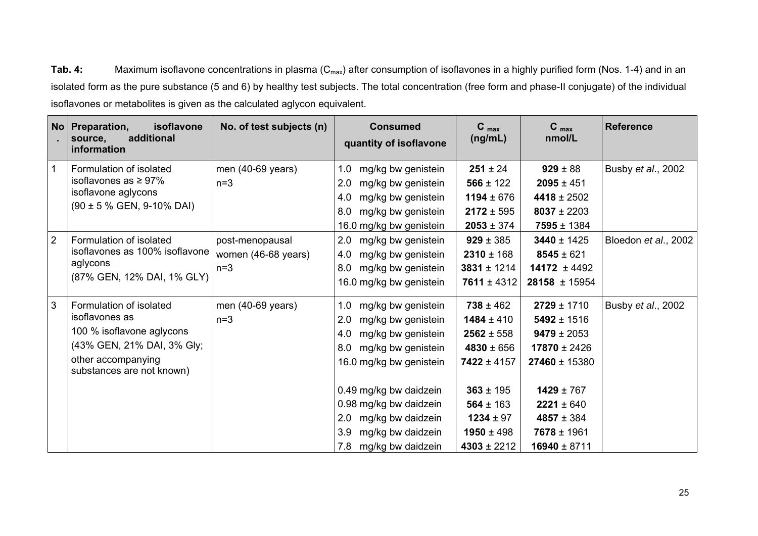Tab. 4: Maximum isoflavone concentrations in plasma (C<sub>max</sub>) after consumption of isoflavones in a highly purified form (Nos. 1-4) and in an isolated form as the pure substance (5 and 6) by healthy test subjects. The total concentration (free form and phase-II conjugate) of the individual isoflavones or metabolites is given as the calculated aglycon equivalent.

|                | No   Preparation,<br>isoflavone<br>additional<br>source,<br>information                                                                                 | No. of test subjects (n)                        | <b>Consumed</b><br>quantity of isoflavone                                                                                                                                                                                                                                           | $C_{max}$<br>(ng/mL)                                                                                                                                                           | $C_{max}$<br>nmol/L                                                                                                                                                                         | <b>Reference</b>     |
|----------------|---------------------------------------------------------------------------------------------------------------------------------------------------------|-------------------------------------------------|-------------------------------------------------------------------------------------------------------------------------------------------------------------------------------------------------------------------------------------------------------------------------------------|--------------------------------------------------------------------------------------------------------------------------------------------------------------------------------|---------------------------------------------------------------------------------------------------------------------------------------------------------------------------------------------|----------------------|
| $\overline{1}$ | Formulation of isolated<br>isoflavones as $\geq 97\%$<br>isoflavone aglycons<br>$(90 \pm 5 \% \text{ GEN}, 9-10\% \text{ DAL})$                         | men (40-69 years)<br>$n=3$                      | 1.0<br>mg/kg bw genistein<br>2.0<br>mg/kg bw genistein<br>mg/kg bw genistein<br>4.0<br>mg/kg bw genistein<br>8.0<br>16.0 mg/kg bw genistein                                                                                                                                         | $251 \pm 24$<br>$566 \pm 122$<br>$1194 \pm 676$<br>$2172 \pm 595$<br>$2053 \pm 374$                                                                                            | $929 \pm 88$<br>$2095 \pm 451$<br>$4418 \pm 2502$<br>$8037 \pm 2203$<br>$7595 \pm 1384$                                                                                                     | Busby et al., 2002   |
| 2              | Formulation of isolated<br>isoflavones as 100% isoflavone<br>aglycons<br>(87% GEN, 12% DAI, 1% GLY)                                                     | post-menopausal<br>women (46-68 years)<br>$n=3$ | 2.0<br>mg/kg bw genistein<br>mg/kg bw genistein<br>4.0<br>mg/kg bw genistein<br>8.0<br>16.0 mg/kg bw genistein                                                                                                                                                                      | $929 \pm 385$<br>$2310 \pm 168$<br>$3831 \pm 1214$<br>$7611 \pm 4312$                                                                                                          | $3440 \pm 1425$<br>$8545 \pm 621$<br>$14172 \pm 4492$<br>$28158 \pm 15954$                                                                                                                  | Bloedon et al., 2002 |
| $\mathbf{3}$   | Formulation of isolated<br>isoflavones as<br>100 % isoflavone aglycons<br>(43% GEN, 21% DAI, 3% Gly;<br>other accompanying<br>substances are not known) | men (40-69 years)<br>$n=3$                      | mg/kg bw genistein<br>1.0<br>2.0<br>mg/kg bw genistein<br>4.0<br>mg/kg bw genistein<br>mg/kg bw genistein<br>8.0<br>16.0 mg/kg bw genistein<br>0.49 mg/kg bw daidzein<br>0.98 mg/kg bw daidzein<br>mg/kg bw daidzein<br>2.0<br>mg/kg bw daidzein<br>3.9<br>mg/kg bw daidzein<br>7.8 | $738 \pm 462$<br>$1484 \pm 410$<br>$2562 \pm 558$<br>$4830 \pm 656$<br>$7422 \pm 4157$<br>$363 \pm 195$<br>$564 \pm 163$<br>$1234 \pm 97$<br>$1950 \pm 498$<br>$4303 \pm 2212$ | $2729 \pm 1710$<br>$5492 \pm 1516$<br>$9479 \pm 2053$<br>$17870 \pm 2426$<br>$27460 \pm 15380$<br>$1429 \pm 767$<br>$2221 \pm 640$<br>$4857 \pm 384$<br>$7678 \pm 1961$<br>$16940 \pm 8711$ | Busby et al., 2002   |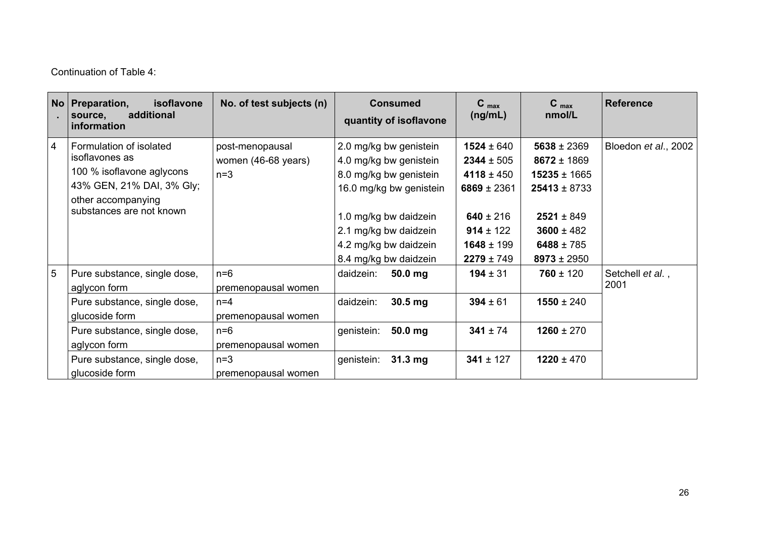Continuation of Table 4:

|                 | No   Preparation,<br>isoflavone<br>additional<br>source,<br>information                                                                                                                          | No. of test subjects (n)                                                                                                     | <b>Consumed</b><br>quantity of isoflavone                                                                                                                                                                 | $C_{\text{max}}$<br>(ng/mL)                                                                                                         | $C_{max}$<br>nmol/L                                                                                                                             | <b>Reference</b>         |
|-----------------|--------------------------------------------------------------------------------------------------------------------------------------------------------------------------------------------------|------------------------------------------------------------------------------------------------------------------------------|-----------------------------------------------------------------------------------------------------------------------------------------------------------------------------------------------------------|-------------------------------------------------------------------------------------------------------------------------------------|-------------------------------------------------------------------------------------------------------------------------------------------------|--------------------------|
| $\overline{4}$  | Formulation of isolated<br>isoflavones as<br>100 % isoflavone aglycons<br>43% GEN, 21% DAI, 3% Gly;<br>other accompanying<br>substances are not known                                            | post-menopausal<br>women (46-68 years)<br>$n=3$                                                                              | 2.0 mg/kg bw genistein<br>4.0 mg/kg bw genistein<br>8.0 mg/kg bw genistein<br>16.0 mg/kg bw genistein<br>1.0 mg/kg bw daidzein<br>2.1 mg/kg bw daidzein<br>4.2 mg/kg bw daidzein<br>8.4 mg/kg bw daidzein | $1524 \pm 640$<br>$2344 \pm 505$<br>$4118 \pm 450$<br>6869 ± 2361<br>640 ± 216<br>$914 \pm 122$<br>$1648 \pm 199$<br>$2279 \pm 749$ | $5638 \pm 2369$<br>$8672 \pm 1869$<br>$15235 \pm 1665$<br>$25413 \pm 8733$<br>$2521 \pm 849$<br>$3600 \pm 482$<br>6488 ± 785<br>$8973 \pm 2950$ | Bloedon et al., 2002     |
| $5\overline{5}$ | Pure substance, single dose,<br>aglycon form<br>Pure substance, single dose,<br>glucoside form<br>Pure substance, single dose,<br>aglycon form<br>Pure substance, single dose,<br>glucoside form | $n=6$<br>premenopausal women<br>$n=4$<br>premenopausal women<br>$n=6$<br>premenopausal women<br>$n=3$<br>premenopausal women | daidzein:<br>$50.0$ mg<br>$30.5$ mg<br>daidzein:<br>50.0 mg<br>genistein:<br>genistein:<br>$31.3 \text{ mg}$                                                                                              | $194 \pm 31$<br>$394 \pm 61$<br>$341 \pm 74$<br>$341 \pm 127$                                                                       | $760 \pm 120$<br>$1550 \pm 240$<br>$1260 \pm 270$<br>$1220 \pm 470$                                                                             | Setchell et al.,<br>2001 |